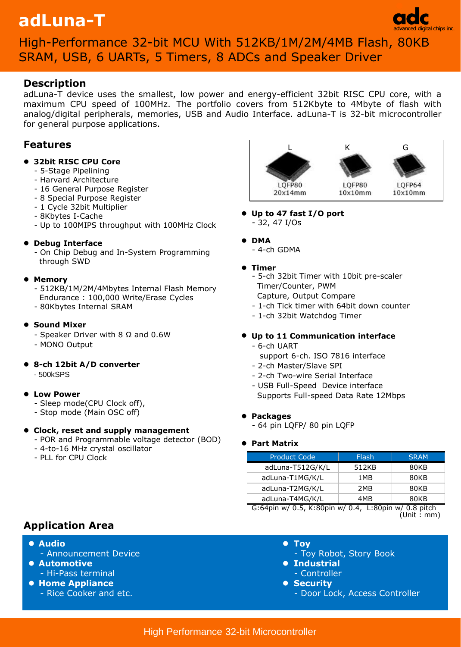# **adLuna-T**



# High-Performance 32-bit MCU With 512KB/1M/2M/4MB Flash, 80KB SRAM, USB, 6 UARTs, 5 Timers, 8 ADCs and Speaker Driver

# **Description**

adLuna-T device uses the smallest, low power and energy-efficient 32bit RISC CPU core, with a maximum CPU speed of 100MHz. The portfolio covers from 512Kbyte to 4Mbyte of flash with analog/digital peripherals, memories, USB and Audio Interface. adLuna-T is 32-bit microcontroller for general purpose applications.

# **Features**

# **32bit RISC CPU Core**

- 5-Stage Pipelining
- Harvard Architecture
- 16 General Purpose Register
- 8 Special Purpose Register
- 1 Cycle 32bit Multiplier
- 8Kbytes I-Cache
- Up to 100MIPS throughput with 100MHz Clock

#### **Debug Interface**

 - On Chip Debug and In-System Programming through SWD

#### **Memory**

 - 512KB/1M/2M/4Mbytes Internal Flash Memory Endurance : 100,000 Write/Erase Cycles - 80Kbytes Internal SRAM

### $\bullet$  **Sound Mixer**

- Speaker Driver with 8 Ω and 0.6W
- MONO Output
- **8-ch 12bit A/D converter**
	- 500kSPS

#### **Low Power**

- Sleep mode(CPU Clock off),
- Stop mode (Main OSC off)

# **Clock, reset and supply management**

- POR and Programmable voltage detector (BOD)
- 4-to-16 MHz crystal oscillator
- PLL for CPU Clock

#### L K G LOFP80 LQFP80 LQFP64  $20x14mm$  $10x10mm$  $10x10mm$

- **Up to 47 fast I/O port** - 32, 47 I/Os
- **DMA**
	- 4-ch GDMA

# **Timer**

- 5-ch 32bit Timer with 10bit pre-scaler Timer/Counter, PWM Capture, Output Compare
- 1-ch Tick timer with 64bit down counter
- 1-ch 32bit Watchdog Timer

# **Up to 11 Communication interface**

- 6-ch UART
	- support 6-ch. ISO 7816 interface
- 2-ch Master/Slave SPI
- 2-ch Two-wire Serial Interface
- USB Full-Speed Device interface Supports Full-speed Data Rate 12Mbps

# **Packages**

- 64 pin LQFP/ 80 pin LQFP

# **Part Matrix**

| <b>Product Code</b> | <b>Flash</b> | <b>SRAM</b> |
|---------------------|--------------|-------------|
| adLuna-T512G/K/L    | 512KB        | 80KB        |
| adLuna-T1MG/K/L     | 1 MB         | 80KB        |
| adLuna-T2MG/K/L     | 2MB          | 80KB        |
| adLuna-T4MG/K/L     | 4MB          | 80KB        |

 G:64pin w/ 0.5, K:80pin w/ 0.4, L:80pin w/ 0.8 pitch (Unit : mm)

# **Application Area**

- **Audio**
	- Announcement Device
- **Automotive**  - Hi-Pass terminal
- **Home Appliance**
	- Rice Cooker and etc.
- **Toy**
- Toy Robot, Story Book
- **Industrial**
- Controller
- **8** Security
	- Door Lock, Access Controller